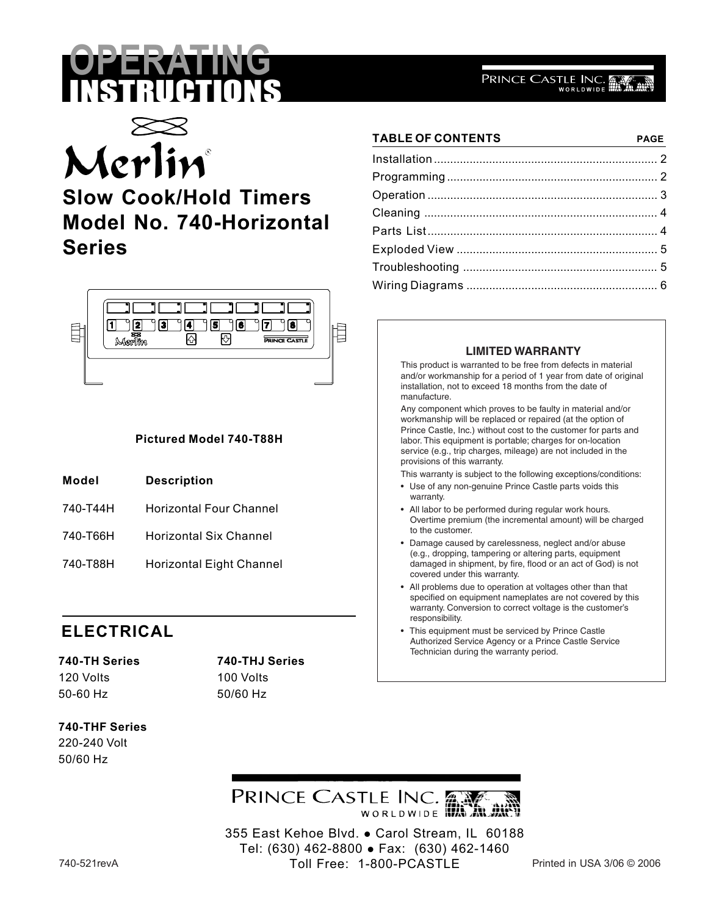# **OPERATING** INSTRUCTIONS



# **Slow Cook/Hold Timers Model No. 740-Horizontal Series**



#### **Pictured Model 740-T88H**

- **Model Description**
- 740-T44H Horizontal Four Channel
- 740-T66H Horizontal Six Channel
- 740-T88H Horizontal Eight Channel

### **ELECTRICAL**

# 120 Volts 100 Volts 50-60 Hz 50/60 Hz

# **740-TH Series 740-THJ Series**

#### **740-THF Series** 220-240 Volt 50/60 Hz

#### Parts List....................................................................... 4 Exploded View .............................................................. 5 Troubleshooting ............................................................ 5

#### **LIMITED WARRANTY**

Wiring Diagrams ........................................................... 6

**TABLE OF CONTENTS PAGE** Installation ..................................................................... 2 Programming ................................................................. 2 Operation ....................................................................... 3 Cleaning ........................................................................ 4

PRINCE CASTLE INC.

This product is warranted to be free from defects in material and/or workmanship for a period of 1 year from date of original installation, not to exceed 18 months from the date of manufacture.

Any component which proves to be faulty in material and/or workmanship will be replaced or repaired (at the option of Prince Castle, Inc.) without cost to the customer for parts and labor. This equipment is portable; charges for on-location service (e.g., trip charges, mileage) are not included in the provisions of this warranty.

- This warranty is subject to the following exceptions/conditions:
- Use of any non-genuine Prince Castle parts voids this warranty.
- All labor to be performed during regular work hours. Overtime premium (the incremental amount) will be charged to the customer.
- Damage caused by carelessness, neglect and/or abuse (e.g., dropping, tampering or altering parts, equipment damaged in shipment, by fire, flood or an act of God) is not covered under this warranty.
- All problems due to operation at voltages other than that specified on equipment nameplates are not covered by this warranty. Conversion to correct voltage is the customer's responsibility.
- This equipment must be serviced by Prince Castle Authorized Service Agency or a Prince Castle Service Technician during the warranty period.



355 East Kehoe Blvd. • Carol Stream, IL 60188 Tel: (630) 462-8800 · Fax: (630) 462-1460 Toll Free: 1-800-PCASTLE 740-521revA Printed in USA 3/06 © 2006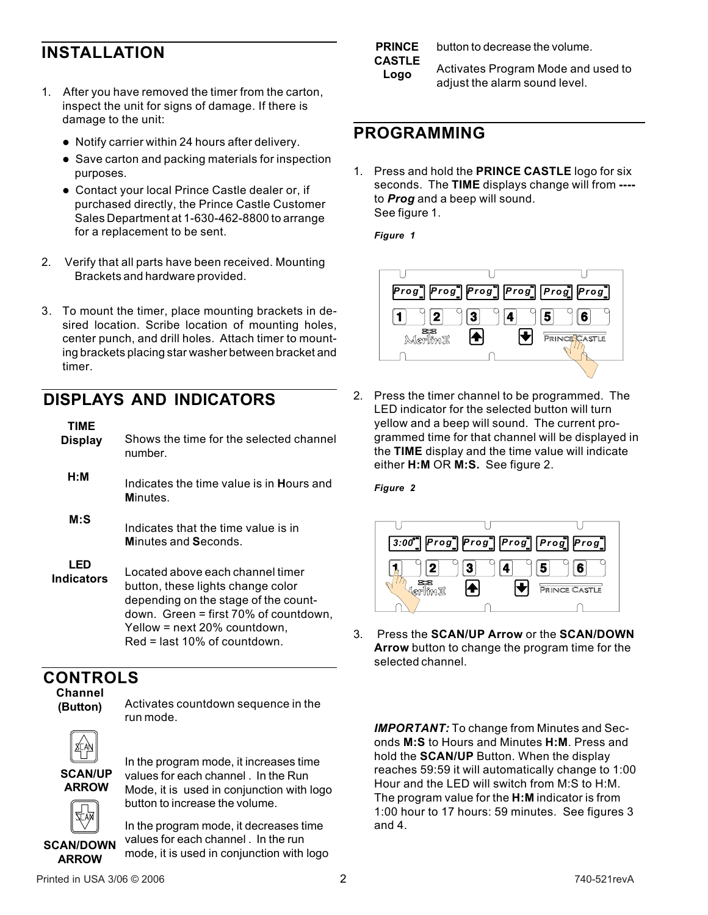## **INSTALLATION**

- 1. After you have removed the timer from the carton, inspect the unit for signs of damage. If there is damage to the unit:
	- Notify carrier within 24 hours after delivery.
	- Save carton and packing materials for inspection purposes.
	- Contact your local Prince Castle dealer or, if purchased directly, the Prince Castle Customer Sales Department at 1-630-462-8800 to arrange for a replacement to be sent.
- 2. Verify that all parts have been received. Mounting Brackets and hardware provided.
- 3. To mount the timer, place mounting brackets in desired location. Scribe location of mounting holes, center punch, and drill holes. Attach timer to mounting brackets placing star washer between bracket and timer.

### **DISPLAYS AND INDICATORS**

| TIME<br><b>Display</b>   | Shows the time for the selected channel<br>number.                                                                                                                                                                        |
|--------------------------|---------------------------------------------------------------------------------------------------------------------------------------------------------------------------------------------------------------------------|
| H:M                      | Indicates the time value is in <b>Hours</b> and<br>Minutes.                                                                                                                                                               |
| $M:$ S                   | Indicates that the time value is in<br>Minutes and Seconds.                                                                                                                                                               |
| LED<br><b>Indicators</b> | Located above each channel timer<br>button, these lights change color<br>depending on the stage of the count-<br>down. Green = first 70% of countdown,<br>Yellow = next 20% countdown,<br>$Red = last 10\%$ of countdown. |

#### **CONTROLS**

**Channel (Button)**

Activates countdown sequence in the run mode.



**SCAN/UP ARROW**

In the program mode, it increases time values for each channel . In the Run Mode, it is used in conjunction with logo button to increase the volume.

**SCAN/DOWN ARROW**

In the program mode, it decreases time values for each channel . In the run mode, it is used in conjunction with logo

**PRINCE CASTLE Logo**

button to decrease the volume.

Activates Program Mode and used to adjust the alarm sound level.

#### **PROGRAMMING**

1. Press and hold the **PRINCE CASTLE** logo for six seconds. The **TIME** displays change will from **---** to *Prog* and a beep will sound. See figure 1.

*Figure 1*



2. Press the timer channel to be programmed. The LED indicator for the selected button will turn yellow and a beep will sound. The current programmed time for that channel will be displayed in the **TIME** display and the time value will indicate either **H:M** OR **M:S.** See figure 2.

*Figure 2*



3. Press the **SCAN/UP Arrow** or the **SCAN/DOWN Arrow** button to change the program time for the selected channel.

*IMPORTANT:* To change from Minutes and Seconds **M:S** to Hours and Minutes **H:M**. Press and hold the **SCAN/UP** Button. When the display reaches 59:59 it will automatically change to 1:00 Hour and the LED will switch from M:S to H:M. The program value for the **H:M** indicator is from 1:00 hour to 17 hours: 59 minutes. See figures 3 and 4.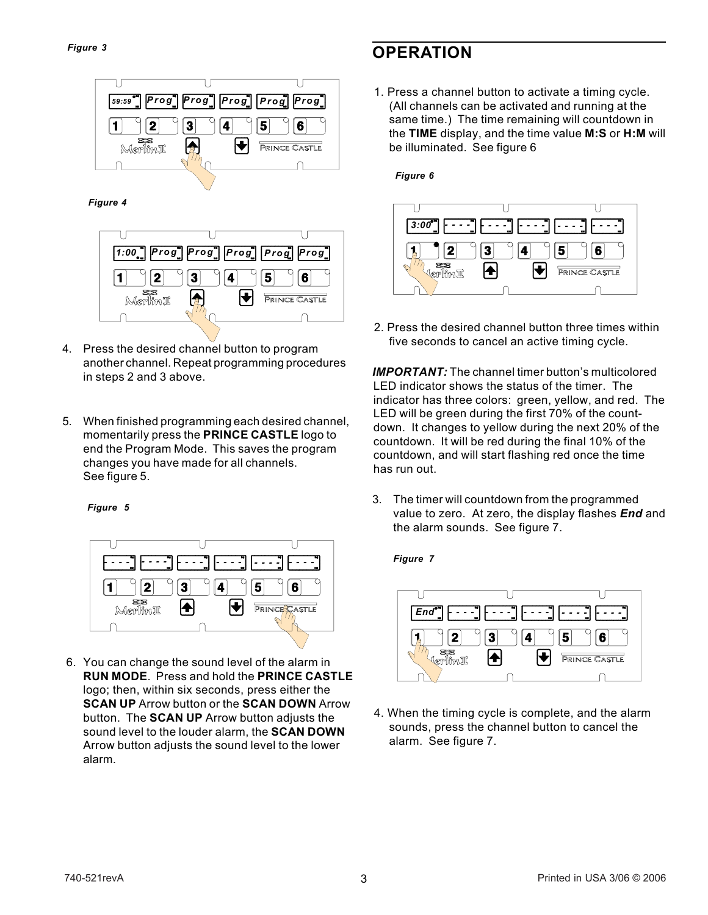

 *Figure 4*



- 4. Press the desired channel button to program another channel. Repeat programming procedures in steps 2 and 3 above.
- 5. When finished programming each desired channel, momentarily press the **PRINCE CASTLE** logo to end the Program Mode. This saves the program changes you have made for all channels. See figure 5.

#### *Figure 5*



 6. You can change the sound level of the alarm in **RUN MODE**. Press and hold the **PRINCE CASTLE** logo; then, within six seconds, press either the **SCAN UP** Arrow button or the **SCAN DOWN** Arrow button. The **SCAN UP** Arrow button adjusts the sound level to the louder alarm, the **SCAN DOWN** Arrow button adjusts the sound level to the lower alarm.

# **OPERATION**

1. Press a channel button to activate a timing cycle. (All channels can be activated and running at the same time.) The time remaining will countdown in the **TIME** display, and the time value **M:S** or **H:M** will be illuminated. See figure 6

#### *Figure 6*



2. Press the desired channel button three times within five seconds to cancel an active timing cycle.

*IMPORTANT:* The channel timer button's multicolored LED indicator shows the status of the timer. The indicator has three colors: green, yellow, and red. The LED will be green during the first 70% of the countdown. It changes to yellow during the next 20% of the countdown. It will be red during the final 10% of the countdown, and will start flashing red once the time has run out.

3. The timer will countdown from the programmed value to zero. At zero, the display flashes *End* and the alarm sounds. See figure 7.

#### *Figure 7*



4. When the timing cycle is complete, and the alarm sounds, press the channel button to cancel the alarm. See figure 7.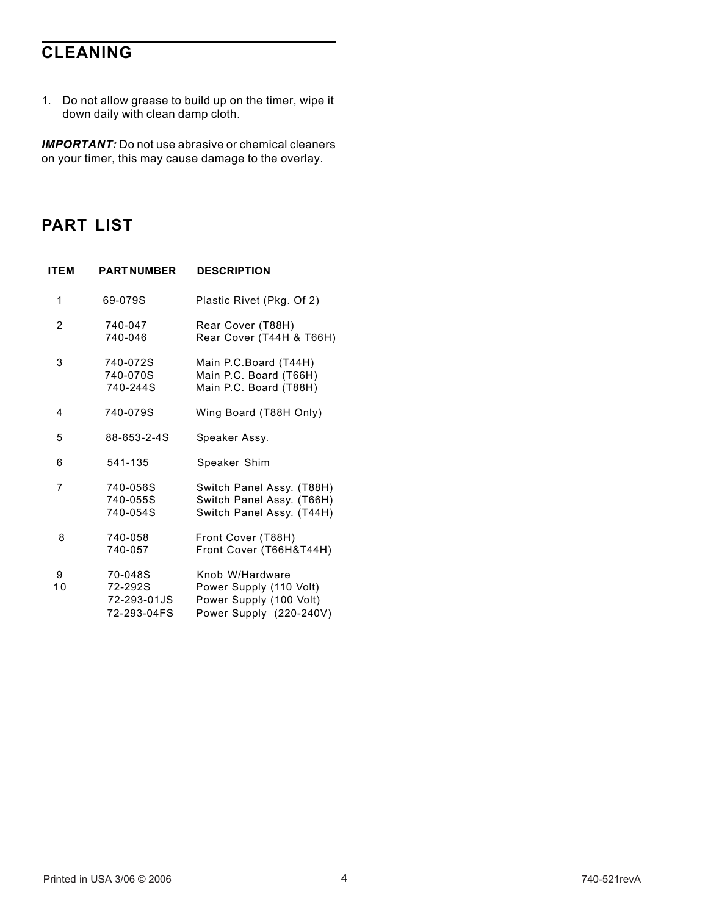# **CLEANING**

1. Do not allow grease to build up on the timer, wipe it down daily with clean damp cloth.

*IMPORTANT:* Do not use abrasive or chemical cleaners on your timer, this may cause damage to the overlay.

### **PART LIST**

| <b>ITEM</b>    | <b>PART NUMBER</b>                               | <b>DESCRIPTION</b>                                                                               |
|----------------|--------------------------------------------------|--------------------------------------------------------------------------------------------------|
| 1              | 69-079S                                          | Plastic Rivet (Pkg. Of 2)                                                                        |
| $\overline{2}$ | 740-047<br>740-046                               | Rear Cover (T88H)<br>Rear Cover (T44H & T66H)                                                    |
| 3              | 740-072S<br>740-070S<br>740-244S                 | Main P.C.Board (T44H)<br>Main P.C. Board (T66H)<br>Main P.C. Board (T88H)                        |
| 4              | 740-079S                                         | Wing Board (T88H Only)                                                                           |
| 5              | 88-653-2-4S                                      | Speaker Assy.                                                                                    |
| 6              | 541-135                                          | Speaker Shim                                                                                     |
| 7              | 740-056S<br>740-055S<br>740-054S                 | Switch Panel Assy. (T88H)<br>Switch Panel Assy. (T66H)<br>Switch Panel Assy. (T44H)              |
| 8              | 740-058<br>740-057                               | Front Cover (T88H)<br>Front Cover (T66H&T44H)                                                    |
| 9<br>10        | 70-048S<br>72-292S<br>72-293-01JS<br>72-293-04FS | Knob W/Hardware<br>Power Supply (110 Volt)<br>Power Supply (100 Volt)<br>Power Supply (220-240V) |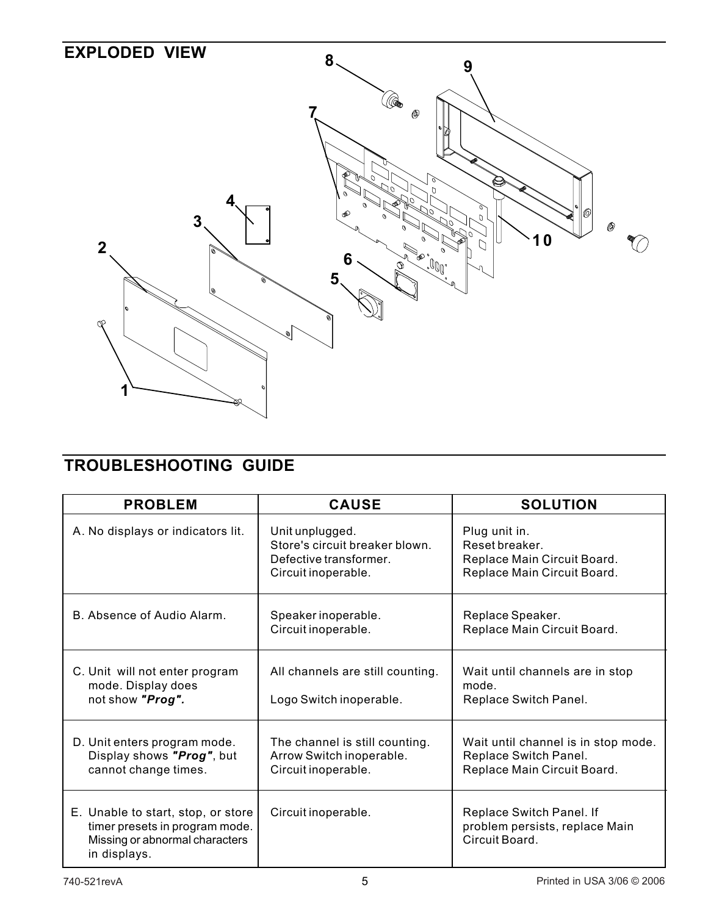

# **TROUBLESHOOTING GUIDE**

| <b>PROBLEM</b>                                                                                                         | <b>CAUSE</b>                                                                                       | <b>SOLUTION</b>                                                                               |
|------------------------------------------------------------------------------------------------------------------------|----------------------------------------------------------------------------------------------------|-----------------------------------------------------------------------------------------------|
| A. No displays or indicators lit.                                                                                      | Unit unplugged.<br>Store's circuit breaker blown.<br>Defective transformer.<br>Circuit inoperable. | Plug unit in.<br>Reset breaker.<br>Replace Main Circuit Board.<br>Replace Main Circuit Board. |
| B. Absence of Audio Alarm.                                                                                             | Speaker inoperable.<br>Circuit inoperable.                                                         | Replace Speaker.<br>Replace Main Circuit Board.                                               |
| C. Unit will not enter program<br>mode. Display does<br>not show "Prog".                                               | All channels are still counting.<br>Logo Switch inoperable.                                        | Wait until channels are in stop<br>mode.<br>Replace Switch Panel.                             |
| D. Unit enters program mode.<br>Display shows "Prog", but<br>cannot change times.                                      | The channel is still counting.<br>Arrow Switch inoperable.<br>Circuit inoperable.                  | Wait until channel is in stop mode.<br>Replace Switch Panel.<br>Replace Main Circuit Board.   |
| E. Unable to start, stop, or store<br>timer presets in program mode.<br>Missing or abnormal characters<br>in displays. | Circuit inoperable.                                                                                | Replace Switch Panel. If<br>problem persists, replace Main<br>Circuit Board.                  |